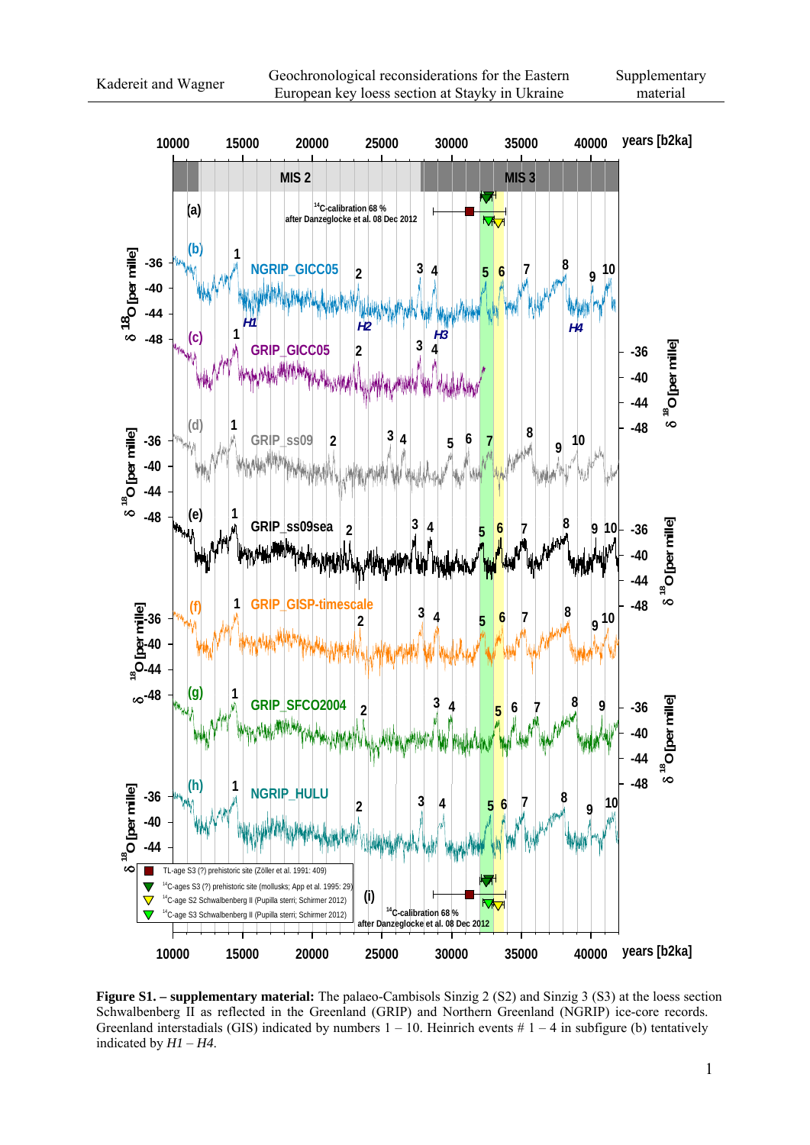

**Figure S1. – supplementary material:** The palaeo-Cambisols Sinzig 2 (S2) and Sinzig 3 (S3) at the loess section Schwalbenberg II as reflected in the Greenland (GRIP) and Northern Greenland (NGRIP) ice-core records. Greenland interstadials (GIS) indicated by numbers  $1 - 10$ . Heinrich events  $\# 1 - 4$  in subfigure (b) tentatively indicated by *H1* – *H4*.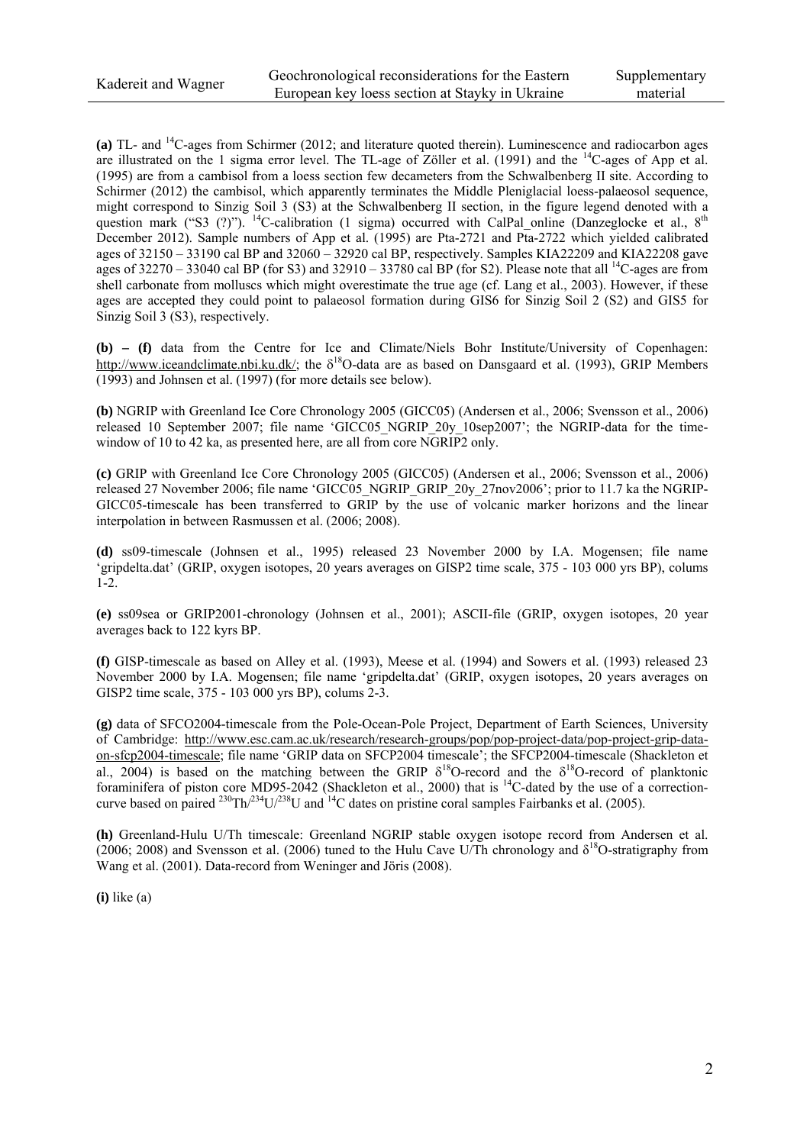**(a)** TL- and 14C-ages from Schirmer (2012; and literature quoted therein). Luminescence and radiocarbon ages are illustrated on the 1 sigma error level. The TL-age of Zöller et al. (1991) and the <sup>14</sup>C-ages of App et al. (1995) are from a cambisol from a loess section few decameters from the Schwalbenberg II site. According to Schirmer (2012) the cambisol, which apparently terminates the Middle Pleniglacial loess-palaeosol sequence, might correspond to Sinzig Soil 3 (S3) at the Schwalbenberg II section, in the figure legend denoted with a question mark ("S3  $(?)$ "). <sup>14</sup>C-calibration (1 sigma) occurred with CalPal\_online (Danzeglocke et al.,  $8<sup>th</sup>$  and  $8<sup>th</sup>$ December 2012). Sample numbers of App et al. (1995) are Pta-2721 and Pta-2722 which yielded calibrated ages of 32150 – 33190 cal BP and 32060 – 32920 cal BP, respectively. Samples KIA22209 and KIA22208 gave ages of  $32270 - 33040$  cal BP (for S3) and  $32910 - 33780$  cal BP (for S2). Please note that all <sup>14</sup>C-ages are from shell carbonate from molluscs which might overestimate the true age (cf. Lang et al., 2003). However, if these ages are accepted they could point to palaeosol formation during GIS6 for Sinzig Soil 2 (S2) and GIS5 for Sinzig Soil 3 (S3), respectively.

**(b) – (f)** data from the Centre for Ice and Climate/Niels Bohr Institute/University of Copenhagen: http://www.iceandclimate.nbi.ku.dk/; the  $\delta^{18}$ O-data are as based on Dansgaard et al. (1993), GRIP Members (1993) and Johnsen et al. (1997) (for more details see below).

**(b)** NGRIP with Greenland Ice Core Chronology 2005 (GICC05) (Andersen et al., 2006; Svensson et al., 2006) released 10 September 2007; file name 'GICC05 NGRIP 20y 10sep2007'; the NGRIP-data for the timewindow of 10 to 42 ka, as presented here, are all from core NGRIP2 only.

**(c)** GRIP with Greenland Ice Core Chronology 2005 (GICC05) (Andersen et al., 2006; Svensson et al., 2006) released 27 November 2006; file name 'GICC05\_NGRIP\_GRIP\_20y\_27nov2006'; prior to 11.7 ka the NGRIP-GICC05-timescale has been transferred to GRIP by the use of volcanic marker horizons and the linear interpolation in between Rasmussen et al. (2006; 2008).

**(d)** ss09-timescale (Johnsen et al., 1995) released 23 November 2000 by I.A. Mogensen; file name 'gripdelta.dat' (GRIP, oxygen isotopes, 20 years averages on GISP2 time scale, 375 - 103 000 yrs BP), colums 1-2.

**(e)** ss09sea or GRIP2001-chronology (Johnsen et al., 2001); ASCII-file (GRIP, oxygen isotopes, 20 year averages back to 122 kyrs BP.

**(f)** GISP-timescale as based on Alley et al. (1993), Meese et al. (1994) and Sowers et al. (1993) released 23 November 2000 by I.A. Mogensen; file name 'gripdelta.dat' (GRIP, oxygen isotopes, 20 years averages on GISP2 time scale, 375 - 103 000 yrs BP), colums 2-3.

**(g)** data of SFCO2004-timescale from the Pole-Ocean-Pole Project, Department of Earth Sciences, University of Cambridge: http://www.esc.cam.ac.uk/research/research-groups/pop/pop-project-data/pop-project-grip-dataon-sfcp2004-timescale; file name 'GRIP data on SFCP2004 timescale'; the SFCP2004-timescale (Shackleton et al., 2004) is based on the matching between the GRIP  $\delta^{18}$ O-record and the  $\delta^{18}$ O-record of planktonic foraminifera of piston core MD95-2042 (Shackleton et al., 2000) that is <sup>14</sup>C-dated by the use of a correctioncurve based on paired <sup>230</sup>Th/<sup>234</sup>U/<sup>238</sup>U and <sup>14</sup>C dates on pristine coral samples Fairbanks et al. (2005).

**(h)** Greenland-Hulu U/Th timescale: Greenland NGRIP stable oxygen isotope record from Andersen et al. (2006; 2008) and Svensson et al. (2006) tuned to the Hulu Cave U/Th chronology and  $\delta^{18}$ O-stratigraphy from Wang et al. (2001). Data-record from Weninger and Jöris (2008).

**(i)** like (a)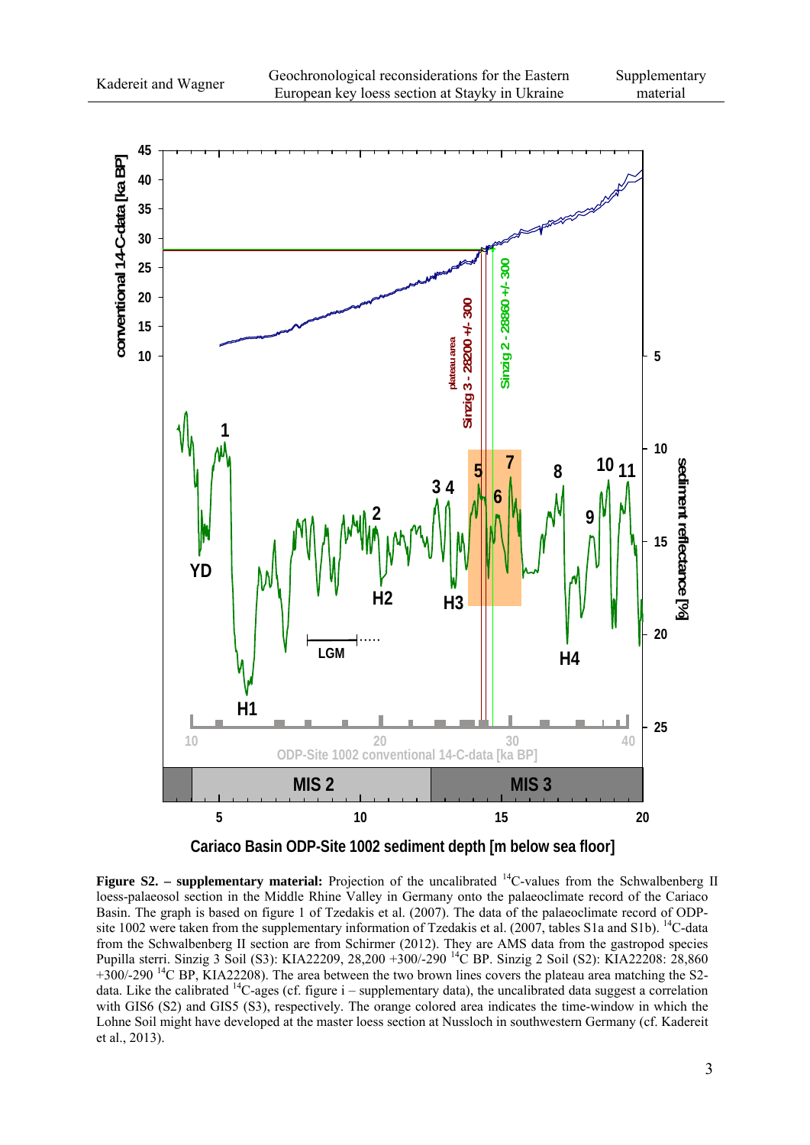

**Cariaco Basin ODP-Site 1002 sediment depth [m below sea floor]**

**Figure S2.** – supplementary material: Projection of the uncalibrated  $^{14}$ C-values from the Schwalbenberg II loess-palaeosol section in the Middle Rhine Valley in Germany onto the palaeoclimate record of the Cariaco Basin. The graph is based on figure 1 of Tzedakis et al. (2007). The data of the palaeoclimate record of ODPsite 1002 were taken from the supplementary information of Tzedakis et al. (2007, tables S1a and S1b). <sup>14</sup>C-data from the Schwalbenberg II section are from Schirmer (2012). They are AMS data from the gastropod species Pupilla sterri. Sinzig 3 Soil (S3): KIA22209, 28,200 +300/-290 14C BP. Sinzig 2 Soil (S2): KIA22208: 28,860  $+300/-290$  <sup>14</sup>C BP, KIA22208). The area between the two brown lines covers the plateau area matching the S2data. Like the calibrated <sup>14</sup>C-ages (cf. figure i – supplementary data), the uncalibrated data suggest a correlation with GIS6 (S2) and GIS5 (S3), respectively. The orange colored area indicates the time-window in which the Lohne Soil might have developed at the master loess section at Nussloch in southwestern Germany (cf. Kadereit et al., 2013).